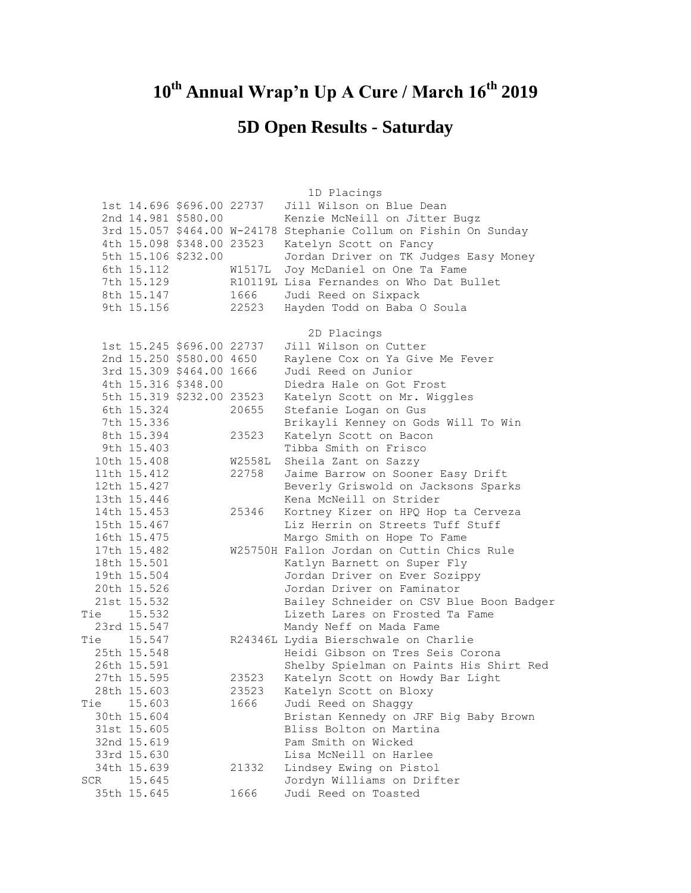## **10th Annual Wrap'n Up A Cure / March 16th 2019**

## **5D Open Results - Saturday**

|     |             |                           |                             | 1D Placings                                                               |
|-----|-------------|---------------------------|-----------------------------|---------------------------------------------------------------------------|
|     |             | 1st 14.696 \$696.00 22737 |                             | Jill Wilson on Blue Dean                                                  |
|     |             | 2nd 14.981 \$580.00       |                             | Kenzie McNeill on Jitter Bugz                                             |
|     |             |                           | 3rd 15.057 \$464.00 W-24178 | Stephanie Collum on Fishin On Sunday                                      |
|     |             | 4th 15.098 \$348.00 23523 |                             | Katelyn Scott on Fancy                                                    |
|     |             | 5th 15.106 \$232.00       |                             | Jordan Driver on TK Judges Easy Money                                     |
|     | 6th 15.112  |                           | W1517L                      | Joy McDaniel on One Ta Fame                                               |
|     | 7th 15.129  |                           |                             | R10119L Lisa Fernandes on Who Dat Bullet                                  |
|     | 8th 15.147  |                           | 1666                        | Judi Reed on Sixpack                                                      |
|     | 9th 15.156  |                           | 22523                       | Hayden Todd on Baba O Soula                                               |
|     |             |                           |                             |                                                                           |
|     |             |                           |                             | 2D Placings                                                               |
|     |             | 1st 15.245 \$696.00 22737 |                             | Jill Wilson on Cutter                                                     |
|     |             | 2nd 15.250 \$580.00 4650  |                             | Raylene Cox on Ya Give Me Fever                                           |
|     |             | 3rd 15.309 \$464.00 1666  |                             | Judi Reed on Junior                                                       |
|     |             | 4th 15.316 \$348.00       |                             | Diedra Hale on Got Frost                                                  |
|     |             | 5th 15.319 \$232.00 23523 |                             | Katelyn Scott on Mr. Wiggles                                              |
|     | 6th 15.324  |                           | 20655                       | Stefanie Logan on Gus                                                     |
|     | 7th 15.336  |                           |                             | Brikayli Kenney on Gods Will To Win                                       |
|     | 8th 15.394  |                           | 23523                       | Katelyn Scott on Bacon                                                    |
|     | 9th 15.403  |                           |                             | Tibba Smith on Frisco                                                     |
|     | 10th 15.408 |                           | W2558L                      | Sheila Zant on Sazzy                                                      |
|     | 11th 15.412 |                           | 22758                       | Jaime Barrow on Sooner Easy Drift                                         |
|     | 12th 15.427 |                           |                             | Beverly Griswold on Jacksons Sparks                                       |
|     | 13th 15.446 |                           |                             | Kena McNeill on Strider                                                   |
|     | 14th 15.453 |                           | 25346                       | Kortney Kizer on HPQ Hop ta Cerveza                                       |
|     | 15th 15.467 |                           |                             | Liz Herrin on Streets Tuff Stuff                                          |
|     | 16th 15.475 |                           |                             |                                                                           |
|     | 17th 15.482 |                           |                             | Margo Smith on Hope To Fame<br>W25750H Fallon Jordan on Cuttin Chics Rule |
|     |             |                           |                             |                                                                           |
|     | 18th 15.501 |                           |                             | Katlyn Barnett on Super Fly                                               |
|     | 19th 15.504 |                           |                             | Jordan Driver on Ever Sozippy                                             |
|     | 20th 15.526 |                           |                             | Jordan Driver on Faminator                                                |
|     | 21st 15.532 |                           |                             | Bailey Schneider on CSV Blue Boon Badger                                  |
|     | Tie 15.532  |                           |                             | Lizeth Lares on Frosted Ta Fame                                           |
|     | 23rd 15.547 |                           |                             | Mandy Neff on Mada Fame                                                   |
|     | Tie 15.547  |                           |                             | R24346L Lydia Bierschwale on Charlie                                      |
|     | 25th 15.548 |                           |                             | Heidi Gibson on Tres Seis Corona                                          |
|     | 26th 15.591 |                           |                             | Shelby Spielman on Paints His Shirt Red                                   |
|     | 27th 15.595 |                           | 23523                       | Katelyn Scott on Howdy Bar Light                                          |
|     | 28th 15.603 |                           | 23523                       | Katelyn Scott on Bloxy                                                    |
| Tie | 15.603      |                           | 1666                        | Judi Reed on Shaggy                                                       |
|     | 30th 15.604 |                           |                             | Bristan Kennedy on JRF Big Baby Brown                                     |
|     | 31st 15.605 |                           |                             | Bliss Bolton on Martina                                                   |
|     | 32nd 15.619 |                           |                             | Pam Smith on Wicked                                                       |
|     | 33rd 15.630 |                           |                             | Lisa McNeill on Harlee                                                    |
|     | 34th 15.639 |                           | 21332                       | Lindsey Ewing on Pistol                                                   |
| SCR | 15.645      |                           |                             | Jordyn Williams on Drifter                                                |
|     | 35th 15.645 |                           | 1666                        | Judi Reed on Toasted                                                      |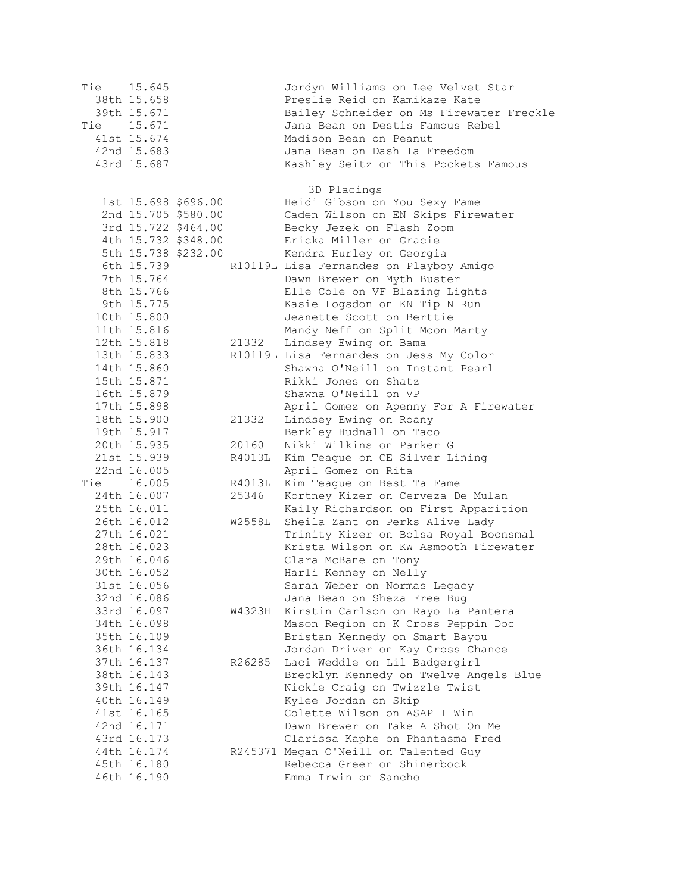Tie 15.645 Jordyn Williams on Lee Velvet Star 38th 15.658 Preslie Reid on Kamikaze Kate 39th 15.671 Bailey Schneider on Ms Firewater Freckle Tie 15.671 Jana Bean on Destis Famous Rebel 41st 15.674 Madison Bean on Peanut 42nd 15.683 Jana Bean on Dash Ta Freedom 43rd 15.687 Kashley Seitz on This Pockets Famous 3D Placings 1st 15.698 \$696.00 Heidi Gibson on You Sexy Fame 2nd 15.705 \$580.00 Caden Wilson on EN Skips Firewater 3rd 15.722 \$464.00 Becky Jezek on Flash Zoom 4th 15.732 \$348.00 Ericka Miller on Gracie 5th 15.738 \$232.00 Kendra Hurley on Georgia 6th 15.739 R10119L Lisa Fernandes on Playboy Amigo<br>7th 15.764 Dawn Brewer on Myth Buster 7th 15.764 Dawn Brewer on Myth Buster<br>8th 15.766 Blle Cole on VF Blazing Lig 8th 15.766 Elle Cole on VF Blazing Lights Kasie Logsdon on KN Tip N Run 10th 15.800 Jeanette Scott on Berttie 11th 15.816 Mandy Neff on Split Moon Marty 12th 15.818 21332 Lindsey Ewing on Bama 13th 15.833 R10119L Lisa Fernandes on Jess My Color 14th 15.860 Shawna O'Neill on Instant Pearl 15th 15.871 Rikki Jones on Shatz 16th 15.879 Shawna O'Neill on VP 17th 15.898 April Gomez on Apenny For A Firewater 18th 15.900 21332 Lindsey Ewing on Roany 19th 15.917 Berkley Hudnall on Taco 20th 15.935 20160 Nikki Wilkins on Parker G 21st 15.939 R4013L Kim Teague on CE Silver Lining 22nd 16.005 April Gomez on Rita Tie 16.005 R4013L Kim Teague on Best Ta Fame 24th 16.007 25346 Kortney Kizer on Cerveza De Mulan 25th 16.011 Kaily Richardson on First Apparition 26th 16.012 W2558L Sheila Zant on Perks Alive Lady 27th 16.021 Trinity Kizer on Bolsa Royal Boonsmal 28th 16.023 Krista Wilson on KW Asmooth Firewater 29th 16.046 Clara McBane on Tony 30th 16.052 Harli Kenney on Nelly 31st 16.056 Sarah Weber on Normas Legacy 32nd 16.086 Jana Bean on Sheza Free Bug 33rd 16.097 W4323H Kirstin Carlson on Rayo La Pantera 34th 16.098 Mason Region on K Cross Peppin Doc 35th 16.109 Bristan Kennedy on Smart Bayou 36th 16.134 Jordan Driver on Kay Cross Chance 37th 16.137 R26285 Laci Weddle on Lil Badgergirl 38th 16.143 Brecklyn Kennedy on Twelve Angels Blue 39th 16.147 Nickie Craig on Twizzle Twist 40th 16.149 Kylee Jordan on Skip 41st 16.165 Colette Wilson on ASAP I Win 42nd 16.171 Dawn Brewer on Take A Shot On Me<br>43rd 16.173 Clarissa Kaphe on Phantasma Fred Clarissa Kaphe on Phantasma Fred 44th 16.174 R245371 Megan O'Neill on Talented Guy 45th 16.180 Rebecca Greer on Shinerbock 46th 16.190 Emma Irwin on Sancho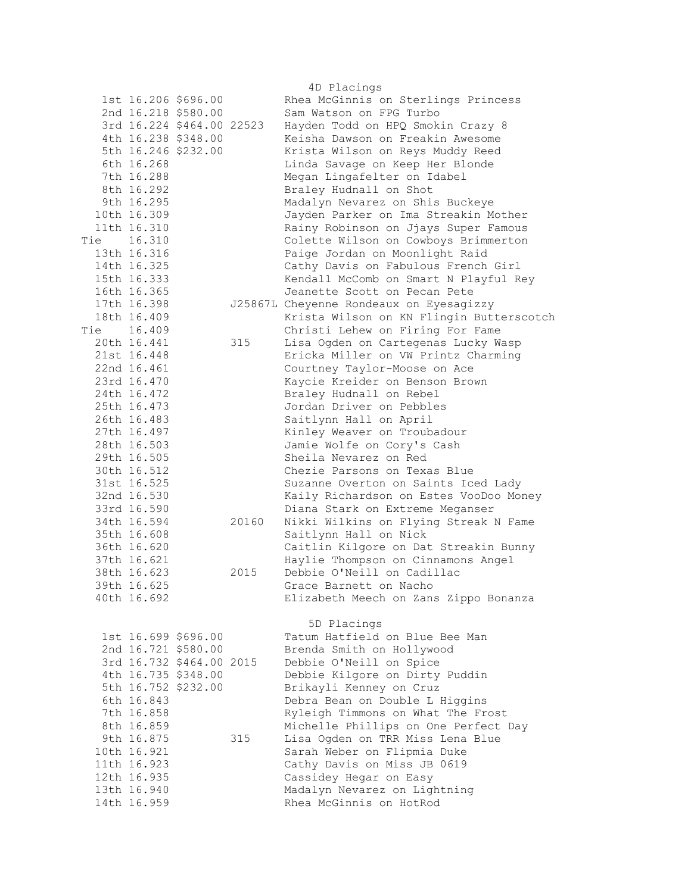| 4D Placings |             |                           |       |                                          |  |  |
|-------------|-------------|---------------------------|-------|------------------------------------------|--|--|
|             |             | 1st 16.206 \$696.00       |       | Rhea McGinnis on Sterlings Princess      |  |  |
|             |             | 2nd 16.218 \$580.00       |       | Sam Watson on FPG Turbo                  |  |  |
|             |             | 3rd 16.224 \$464.00 22523 |       | Hayden Todd on HPQ Smokin Crazy 8        |  |  |
|             |             | 4th 16.238 \$348.00       |       | Keisha Dawson on Freakin Awesome         |  |  |
|             |             | 5th 16.246 \$232.00       |       | Krista Wilson on Reys Muddy Reed         |  |  |
|             | 6th 16.268  |                           |       | Linda Savage on Keep Her Blonde          |  |  |
|             | 7th 16.288  |                           |       | Megan Lingafelter on Idabel              |  |  |
|             | 8th 16.292  |                           |       | Braley Hudnall on Shot                   |  |  |
|             | 9th 16.295  |                           |       | Madalyn Nevarez on Shis Buckeye          |  |  |
|             | 10th 16.309 |                           |       | Jayden Parker on Ima Streakin Mother     |  |  |
|             | 11th 16.310 |                           |       | Rainy Robinson on Jjays Super Famous     |  |  |
| Tie         | 16.310      |                           |       | Colette Wilson on Cowboys Brimmerton     |  |  |
|             | 13th 16.316 |                           |       | Paige Jordan on Moonlight Raid           |  |  |
|             | 14th 16.325 |                           |       | Cathy Davis on Fabulous French Girl      |  |  |
|             | 15th 16.333 |                           |       | Kendall McComb on Smart N Playful Rey    |  |  |
|             | 16th 16.365 |                           |       | Jeanette Scott on Pecan Pete             |  |  |
|             | 17th 16.398 |                           |       | J25867L Cheyenne Rondeaux on Eyesagizzy  |  |  |
|             | 18th 16.409 |                           |       |                                          |  |  |
|             |             |                           |       | Krista Wilson on KN Flingin Butterscotch |  |  |
| Tie 16.409  |             |                           |       | Christi Lehew on Firing For Fame         |  |  |
|             | 20th 16.441 |                           | 315   | Lisa Ogden on Cartegenas Lucky Wasp      |  |  |
|             | 21st 16.448 |                           |       | Ericka Miller on VW Printz Charming      |  |  |
|             | 22nd 16.461 |                           |       | Courtney Taylor-Moose on Ace             |  |  |
|             | 23rd 16.470 |                           |       | Kaycie Kreider on Benson Brown           |  |  |
|             | 24th 16.472 |                           |       | Braley Hudnall on Rebel                  |  |  |
|             | 25th 16.473 |                           |       | Jordan Driver on Pebbles                 |  |  |
|             | 26th 16.483 |                           |       | Saitlynn Hall on April                   |  |  |
|             | 27th 16.497 |                           |       | Kinley Weaver on Troubadour              |  |  |
|             | 28th 16.503 |                           |       | Jamie Wolfe on Cory's Cash               |  |  |
|             | 29th 16.505 |                           |       | Sheila Nevarez on Red                    |  |  |
|             | 30th 16.512 |                           |       | Chezie Parsons on Texas Blue             |  |  |
|             | 31st 16.525 |                           |       | Suzanne Overton on Saints Iced Lady      |  |  |
|             | 32nd 16.530 |                           |       | Kaily Richardson on Estes VooDoo Money   |  |  |
|             | 33rd 16.590 |                           |       | Diana Stark on Extreme Meganser          |  |  |
|             | 34th 16.594 |                           | 20160 | Nikki Wilkins on Flying Streak N Fame    |  |  |
|             | 35th 16.608 |                           |       | Saitlynn Hall on Nick                    |  |  |
|             | 36th 16.620 |                           |       | Caitlin Kilgore on Dat Streakin Bunny    |  |  |
|             | 37th 16.621 |                           |       | Haylie Thompson on Cinnamons Angel       |  |  |
|             | 38th 16.623 |                           | 2015  | Debbie O'Neill on Cadillac               |  |  |
|             | 39th 16.625 |                           |       | Grace Barnett on Nacho                   |  |  |
|             | 40th 16.692 |                           |       | Elizabeth Meech on Zans Zippo Bonanza    |  |  |
|             |             |                           |       |                                          |  |  |
|             |             |                           |       | 5D Placings                              |  |  |
|             |             | 1st 16.699 \$696.00       |       | Tatum Hatfield on Blue Bee Man           |  |  |
|             |             | 2nd 16.721 \$580.00       |       | Brenda Smith on Hollywood                |  |  |
|             |             | 3rd 16.732 \$464.00 2015  |       | Debbie O'Neill on Spice                  |  |  |
|             |             | 4th 16.735 \$348.00       |       | Debbie Kilgore on Dirty Puddin           |  |  |
|             |             | 5th 16.752 \$232.00       |       | Brikayli Kenney on Cruz                  |  |  |
|             | 6th 16.843  |                           |       | Debra Bean on Double L Higgins           |  |  |
|             | 7th 16.858  |                           |       | Ryleigh Timmons on What The Frost        |  |  |
|             | 8th 16.859  |                           |       | Michelle Phillips on One Perfect Day     |  |  |
|             | 9th 16.875  |                           | 315   | Lisa Ogden on TRR Miss Lena Blue         |  |  |
|             | 10th 16.921 |                           |       | Sarah Weber on Flipmia Duke              |  |  |
|             | 11th 16.923 |                           |       | Cathy Davis on Miss JB 0619              |  |  |
|             | 12th 16.935 |                           |       | Cassidey Hegar on Easy                   |  |  |
|             | 13th 16.940 |                           |       | Madalyn Nevarez on Lightning             |  |  |
|             | 14th 16.959 |                           |       | Rhea McGinnis on HotRod                  |  |  |
|             |             |                           |       |                                          |  |  |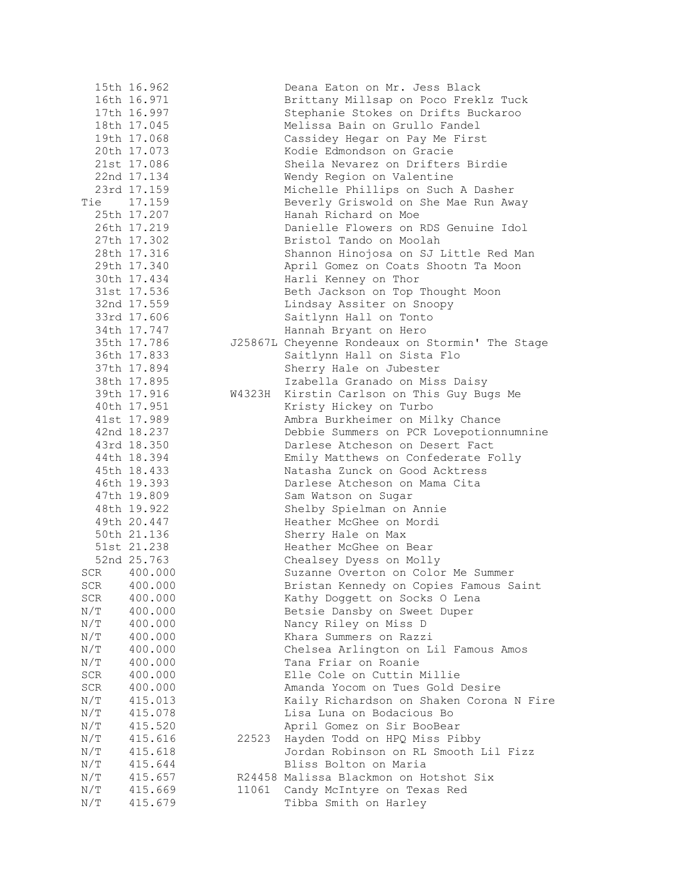|     | 15th 16.962 |        | Deana Eaton on Mr. Jess Black                   |
|-----|-------------|--------|-------------------------------------------------|
|     | 16th 16.971 |        | Brittany Millsap on Poco Freklz Tuck            |
|     | 17th 16.997 |        | Stephanie Stokes on Drifts Buckaroo             |
|     | 18th 17.045 |        | Melissa Bain on Grullo Fandel                   |
|     | 19th 17.068 |        | Cassidey Hegar on Pay Me First                  |
|     | 20th 17.073 |        | Kodie Edmondson on Gracie                       |
|     | 21st 17.086 |        | Sheila Nevarez on Drifters Birdie               |
|     | 22nd 17.134 |        |                                                 |
|     | 23rd 17.159 |        | Wendy Region on Valentine                       |
|     |             |        | Michelle Phillips on Such A Dasher              |
|     | Tie 17.159  |        | Beverly Griswold on She Mae Run Away            |
|     | 25th 17.207 |        | Hanah Richard on Moe                            |
|     | 26th 17.219 |        | Danielle Flowers on RDS Genuine Idol            |
|     | 27th 17.302 |        | Bristol Tando on Moolah                         |
|     | 28th 17.316 |        | Shannon Hinojosa on SJ Little Red Man           |
|     | 29th 17.340 |        | April Gomez on Coats Shootn Ta Moon             |
|     | 30th 17.434 |        | Harli Kenney on Thor                            |
|     | 31st 17.536 |        | Beth Jackson on Top Thought Moon                |
|     | 32nd 17.559 |        | Lindsay Assiter on Snoopy                       |
|     | 33rd 17.606 |        | Saitlynn Hall on Tonto                          |
|     | 34th 17.747 |        | Hannah Bryant on Hero                           |
|     | 35th 17.786 |        | J25867L Cheyenne Rondeaux on Stormin' The Stage |
|     | 36th 17.833 |        | Saitlynn Hall on Sista Flo                      |
|     | 37th 17.894 |        | Sherry Hale on Jubester                         |
|     | 38th 17.895 |        | Izabella Granado on Miss Daisy                  |
|     | 39th 17.916 | W4323H | Kirstin Carlson on This Guy Bugs Me             |
|     | 40th 17.951 |        | Kristy Hickey on Turbo                          |
|     | 41st 17.989 |        | Ambra Burkheimer on Milky Chance                |
|     | 42nd 18.237 |        | Debbie Summers on PCR Lovepotionnumnine         |
|     | 43rd 18.350 |        | Darlese Atcheson on Desert Fact                 |
|     | 44th 18.394 |        |                                                 |
|     |             |        | Emily Matthews on Confederate Folly             |
|     | 45th 18.433 |        | Natasha Zunck on Good Acktress                  |
|     | 46th 19.393 |        | Darlese Atcheson on Mama Cita                   |
|     | 47th 19.809 |        | Sam Watson on Sugar                             |
|     | 48th 19.922 |        | Shelby Spielman on Annie                        |
|     | 49th 20.447 |        | Heather McGhee on Mordi                         |
|     | 50th 21.136 |        | Sherry Hale on Max                              |
|     | 51st 21.238 |        | Heather McGhee on Bear                          |
|     | 52nd 25.763 |        | Chealsey Dyess on Molly                         |
| SCR | 400.000     |        | Suzanne Overton on Color Me Summer              |
|     | SCR 400.000 |        | Bristan Kennedy on Copies Famous Saint          |
| SCR | 400.000     |        | Kathy Doggett on Socks O Lena                   |
| N/T | 400.000     |        | Betsie Dansby on Sweet Duper                    |
| N/T | 400.000     |        | Nancy Riley on Miss D                           |
| N/T | 400.000     |        | Khara Summers on Razzi                          |
| N/T | 400.000     |        | Chelsea Arlington on Lil Famous Amos            |
| N/T | 400.000     |        | Tana Friar on Roanie                            |
| SCR | 400.000     |        | Elle Cole on Cuttin Millie                      |
| SCR | 400.000     |        | Amanda Yocom on Tues Gold Desire                |
| N/T | 415.013     |        | Kaily Richardson on Shaken Corona N Fire        |
| N/T | 415.078     |        | Lisa Luna on Bodacious Bo                       |
| N/T | 415.520     |        | April Gomez on Sir BooBear                      |
| N/T | 415.616     | 22523  | Hayden Todd on HPQ Miss Pibby                   |
| N/T | 415.618     |        | Jordan Robinson on RL Smooth Lil Fizz           |
| N/T | 415.644     |        | Bliss Bolton on Maria                           |
| N/T | 415.657     |        | R24458 Malissa Blackmon on Hotshot Six          |
| N/T | 415.669     | 11061  | Candy McIntyre on Texas Red                     |
| N/T | 415.679     |        | Tibba Smith on Harley                           |
|     |             |        |                                                 |